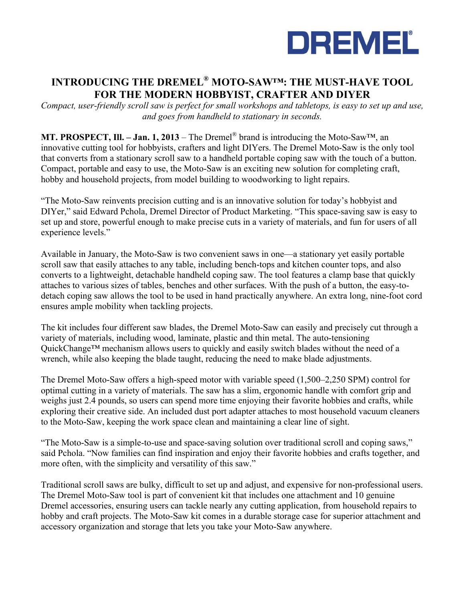

# **INTRODUCING THE DREMEL® MOTO-SAW™: THE MUST-HAVE TOOL FOR THE MODERN HOBBYIST, CRAFTER AND DIYER**

*Compact, user-friendly scroll saw is perfect for small workshops and tabletops, is easy to set up and use, and goes from handheld to stationary in seconds.* 

**MT. PROSPECT, Ill. – Jan. 1, 2013** – The Dremel® brand is introducing the Moto-Saw™, an innovative cutting tool for hobbyists, crafters and light DIYers. The Dremel Moto-Saw is the only tool that converts from a stationary scroll saw to a handheld portable coping saw with the touch of a button. Compact, portable and easy to use, the Moto-Saw is an exciting new solution for completing craft, hobby and household projects, from model building to woodworking to light repairs.

"The Moto-Saw reinvents precision cutting and is an innovative solution for today's hobbyist and DIYer," said Edward Pchola, Dremel Director of Product Marketing. "This space-saving saw is easy to set up and store, powerful enough to make precise cuts in a variety of materials, and fun for users of all experience levels."

Available in January, the Moto-Saw is two convenient saws in one—a stationary yet easily portable scroll saw that easily attaches to any table, including bench-tops and kitchen counter tops, and also converts to a lightweight, detachable handheld coping saw. The tool features a clamp base that quickly attaches to various sizes of tables, benches and other surfaces. With the push of a button, the easy-todetach coping saw allows the tool to be used in hand practically anywhere. An extra long, nine-foot cord ensures ample mobility when tackling projects.

The kit includes four different saw blades, the Dremel Moto-Saw can easily and precisely cut through a variety of materials, including wood, laminate, plastic and thin metal. The auto-tensioning QuickChange™ mechanism allows users to quickly and easily switch blades without the need of a wrench, while also keeping the blade taught, reducing the need to make blade adjustments.

The Dremel Moto-Saw offers a high-speed motor with variable speed (1,500–2,250 SPM) control for optimal cutting in a variety of materials. The saw has a slim, ergonomic handle with comfort grip and weighs just 2.4 pounds, so users can spend more time enjoying their favorite hobbies and crafts, while exploring their creative side. An included dust port adapter attaches to most household vacuum cleaners to the Moto-Saw, keeping the work space clean and maintaining a clear line of sight.

"The Moto-Saw is a simple-to-use and space-saving solution over traditional scroll and coping saws," said Pchola. "Now families can find inspiration and enjoy their favorite hobbies and crafts together, and more often, with the simplicity and versatility of this saw."

Traditional scroll saws are bulky, difficult to set up and adjust, and expensive for non-professional users. The Dremel Moto-Saw tool is part of convenient kit that includes one attachment and 10 genuine Dremel accessories, ensuring users can tackle nearly any cutting application, from household repairs to hobby and craft projects. The Moto-Saw kit comes in a durable storage case for superior attachment and accessory organization and storage that lets you take your Moto-Saw anywhere.